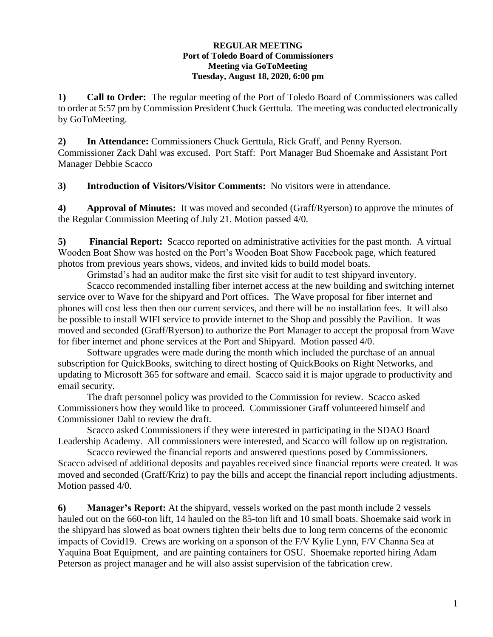## **REGULAR MEETING Port of Toledo Board of Commissioners Meeting via GoToMeeting Tuesday, August 18, 2020, 6:00 pm**

**1) Call to Order:** The regular meeting of the Port of Toledo Board of Commissioners was called to order at 5:57 pm by Commission President Chuck Gerttula. The meeting was conducted electronically by GoToMeeting.

**2) In Attendance:** Commissioners Chuck Gerttula, Rick Graff, and Penny Ryerson. Commissioner Zack Dahl was excused. Port Staff: Port Manager Bud Shoemake and Assistant Port Manager Debbie Scacco

**3) Introduction of Visitors/Visitor Comments:** No visitors were in attendance.

**4) Approval of Minutes:** It was moved and seconded (Graff/Ryerson) to approve the minutes of the Regular Commission Meeting of July 21. Motion passed 4/0.

**5) Financial Report:** Scacco reported on administrative activities for the past month. A virtual Wooden Boat Show was hosted on the Port's Wooden Boat Show Facebook page, which featured photos from previous years shows, videos, and invited kids to build model boats.

Grimstad's had an auditor make the first site visit for audit to test shipyard inventory. Scacco recommended installing fiber internet access at the new building and switching internet service over to Wave for the shipyard and Port offices. The Wave proposal for fiber internet and phones will cost less then then our current services, and there will be no installation fees. It will also be possible to install WIFI service to provide internet to the Shop and possibly the Pavilion. It was moved and seconded (Graff/Ryerson) to authorize the Port Manager to accept the proposal from Wave for fiber internet and phone services at the Port and Shipyard. Motion passed 4/0.

Software upgrades were made during the month which included the purchase of an annual subscription for QuickBooks, switching to direct hosting of QuickBooks on Right Networks, and updating to Microsoft 365 for software and email. Scacco said it is major upgrade to productivity and email security.

The draft personnel policy was provided to the Commission for review. Scacco asked Commissioners how they would like to proceed. Commissioner Graff volunteered himself and Commissioner Dahl to review the draft.

Scacco asked Commissioners if they were interested in participating in the SDAO Board Leadership Academy. All commissioners were interested, and Scacco will follow up on registration.

Scacco reviewed the financial reports and answered questions posed by Commissioners. Scacco advised of additional deposits and payables received since financial reports were created. It was moved and seconded (Graff/Kriz) to pay the bills and accept the financial report including adjustments. Motion passed 4/0.

**6) Manager's Report:** At the shipyard, vessels worked on the past month include 2 vessels hauled out on the 660-ton lift, 14 hauled on the 85-ton lift and 10 small boats. Shoemake said work in the shipyard has slowed as boat owners tighten their belts due to long term concerns of the economic impacts of Covid19. Crews are working on a sponson of the F/V Kylie Lynn, F/V Channa Sea at Yaquina Boat Equipment, and are painting containers for OSU. Shoemake reported hiring Adam Peterson as project manager and he will also assist supervision of the fabrication crew.